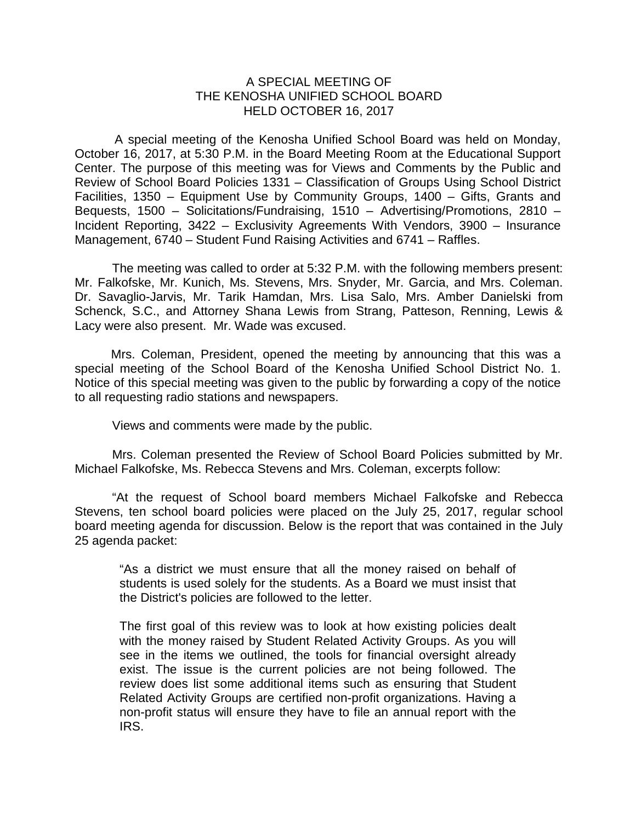## A SPECIAL MEETING OF THE KENOSHA UNIFIED SCHOOL BOARD HELD OCTOBER 16, 2017

A special meeting of the Kenosha Unified School Board was held on Monday, October 16, 2017, at 5:30 P.M. in the Board Meeting Room at the Educational Support Center. The purpose of this meeting was for Views and Comments by the Public and Review of School Board Policies 1331 – Classification of Groups Using School District Facilities, 1350 – Equipment Use by Community Groups, 1400 – Gifts, Grants and Bequests, 1500 – Solicitations/Fundraising, 1510 – Advertising/Promotions, 2810 – Incident Reporting, 3422 – Exclusivity Agreements With Vendors, 3900 – Insurance Management, 6740 – Student Fund Raising Activities and 6741 – Raffles.

The meeting was called to order at 5:32 P.M. with the following members present: Mr. Falkofske, Mr. Kunich, Ms. Stevens, Mrs. Snyder, Mr. Garcia, and Mrs. Coleman. Dr. Savaglio-Jarvis, Mr. Tarik Hamdan, Mrs. Lisa Salo, Mrs. Amber Danielski from Schenck, S.C., and Attorney Shana Lewis from Strang, Patteson, Renning, Lewis & Lacy were also present. Mr. Wade was excused.

Mrs. Coleman, President, opened the meeting by announcing that this was a special meeting of the School Board of the Kenosha Unified School District No. 1. Notice of this special meeting was given to the public by forwarding a copy of the notice to all requesting radio stations and newspapers.

Views and comments were made by the public.

Mrs. Coleman presented the Review of School Board Policies submitted by Mr. Michael Falkofske, Ms. Rebecca Stevens and Mrs. Coleman, excerpts follow:

"At the request of School board members Michael Falkofske and Rebecca Stevens, ten school board policies were placed on the July 25, 2017, regular school board meeting agenda for discussion. Below is the report that was contained in the July 25 agenda packet:

"As a district we must ensure that all the money raised on behalf of students is used solely for the students. As a Board we must insist that the District's policies are followed to the letter.

The first goal of this review was to look at how existing policies dealt with the money raised by Student Related Activity Groups. As you will see in the items we outlined, the tools for financial oversight already exist. The issue is the current policies are not being followed. The review does list some additional items such as ensuring that Student Related Activity Groups are certified non-profit organizations. Having a non-profit status will ensure they have to file an annual report with the IRS.